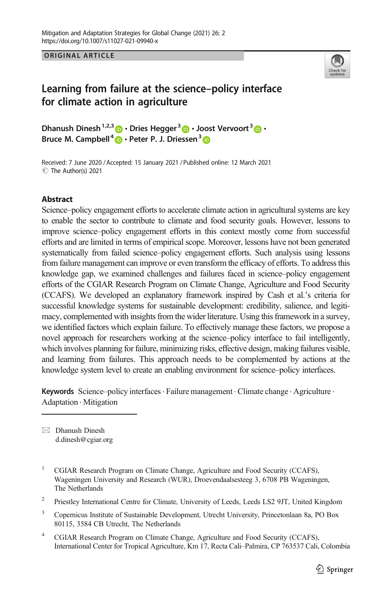ORIGINAL ARTICLE



# Learning from failure at the science–policy interface for climate action in agriculture

Dhanush Dinesh1,2,3 & Dries Hegger <sup>3</sup> & J[oos](https://orcid.org/0000-0002-0724-6666)t Vervoort<sup>3</sup> & Bruce M. Campbell<sup>+</sup> **D** • Peter P. J. Driessen<sup>3</sup>

C The Author(s) 2021 Received: 7 June 2020 / Accepted: 15 January 2021 /Published online: 12 March 2021

#### Abstract

Science–policy engagement efforts to accelerate climate action in agricultural systems are key to enable the sector to contribute to climate and food security goals. However, lessons to improve science–policy engagement efforts in this context mostly come from successful efforts and are limited in terms of empirical scope. Moreover, lessons have not been generated systematically from failed science–policy engagement efforts. Such analysis using lessons from failure management can improve or even transform the efficacy of efforts. To address this knowledge gap, we examined challenges and failures faced in science–policy engagement efforts of the CGIAR Research Program on Climate Change, Agriculture and Food Security (CCAFS). We developed an explanatory framework inspired by Cash et al.'s criteria for successful knowledge systems for sustainable development: credibility, salience, and legitimacy, complemented with insights from the wider literature. Using this framework in a survey, we identified factors which explain failure. To effectively manage these factors, we propose a novel approach for researchers working at the science–policy interface to fail intelligently, which involves planning for failure, minimizing risks, effective design, making failures visible, and learning from failures. This approach needs to be complemented by actions at the knowledge system level to create an enabling environment for science–policy interfaces.

Keywords Science–policy interfaces. Failure management . Climate change . Agriculture . Adaptation . Mitigation

 $\boxtimes$  Dhanush Dinesh [d.dinesh@cgiar.org](mailto:d.dinesh@cgiar.org)

<sup>2</sup> Priestley International Centre for Climate, University of Leeds, Leeds LS2 9JT, United Kingdom

<sup>3</sup> Copernicus Institute of Sustainable Development, Utrecht University, Princetonlaan 8a, PO Box 80115, 3584 CB Utrecht, The Netherlands

<sup>4</sup> CGIAR Research Program on Climate Change, Agriculture and Food Security (CCAFS), International Center for Tropical Agriculture, Km 17, Recta Cali–Palmira, CP 763537 Cali, Colombia

<sup>&</sup>lt;sup>1</sup> CGIAR Research Program on Climate Change, Agriculture and Food Security (CCAFS), Wageningen University and Research (WUR), Droevendaalsesteeg 3, 6708 PB Wageningen, The Netherlands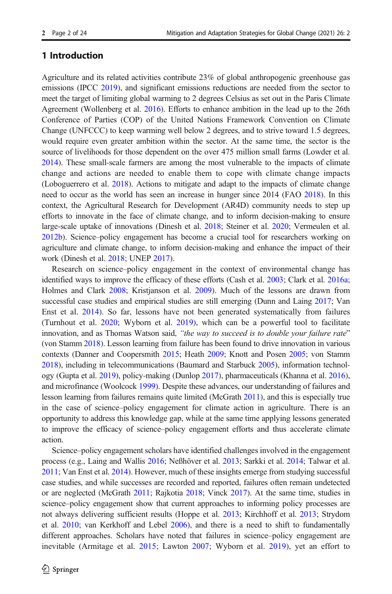### 1 Introduction

Agriculture and its related activities contribute 23% of global anthropogenic greenhouse gas emissions (IPCC [2019\)](#page-21-0), and significant emissions reductions are needed from the sector to meet the target of limiting global warming to 2 degrees Celsius as set out in the Paris Climate Agreement (Wollenberg et al. [2016](#page-23-0)). Efforts to enhance ambition in the lead up to the 26th Conference of Parties (COP) of the United Nations Framework Convention on Climate Change (UNFCCC) to keep warming well below 2 degrees, and to strive toward 1.5 degrees, would require even greater ambition within the sector. At the same time, the sector is the source of livelihoods for those dependent on the over 475 million small farms (Lowder et al. [2014](#page-22-0)). These small-scale farmers are among the most vulnerable to the impacts of climate change and actions are needed to enable them to cope with climate change impacts (Loboguerrero et al. [2018](#page-21-0)). Actions to mitigate and adapt to the impacts of climate change need to occur as the world has seen an increase in hunger since 2014 (FAO [2018\)](#page-21-0). In this context, the Agricultural Research for Development (AR4D) community needs to step up efforts to innovate in the face of climate change, and to inform decision-making to ensure large-scale uptake of innovations (Dinesh et al. [2018;](#page-20-0) Steiner et al. [2020;](#page-22-0) Vermeulen et al. [2012b\)](#page-22-0). Science–policy engagement has become a crucial tool for researchers working on agriculture and climate change, to inform decision-making and enhance the impact of their work (Dinesh et al. [2018;](#page-20-0) UNEP [2017\)](#page-22-0).

Research on science–policy engagement in the context of environmental change has identified ways to improve the efficacy of these efforts (Cash et al. [2003;](#page-20-0) Clark et al. [2016a](#page-20-0); Holmes and Clark [2008](#page-21-0); Kristjanson et al. [2009\)](#page-21-0). Much of the lessons are drawn from successful case studies and empirical studies are still emerging (Dunn and Laing [2017;](#page-20-0) Van Enst et al. [2014](#page-22-0)). So far, lessons have not been generated systematically from failures (Turnhout et al. [2020;](#page-22-0) Wyborn et al. [2019\)](#page-23-0), which can be a powerful tool to facilitate innovation, and as Thomas Watson said, "the way to succeed is to double your failure rate" (von Stamm [2018\)](#page-23-0). Lesson learning from failure has been found to drive innovation in various contexts (Danner and Coopersmith [2015;](#page-20-0) Heath [2009](#page-21-0); Knott and Posen [2005;](#page-21-0) von Stamm [2018](#page-23-0)), including in telecommunications (Baumard and Starbuck [2005](#page-20-0)), information technology (Gupta et al. [2019\)](#page-21-0), policy-making (Dunlop [2017](#page-20-0)), pharmaceuticals (Khanna et al. [2016](#page-21-0)), and microfinance (Woolcock [1999](#page-23-0)). Despite these advances, our understanding of failures and lesson learning from failures remains quite limited (McGrath [2011\)](#page-22-0), and this is especially true in the case of science–policy engagement for climate action in agriculture. There is an opportunity to address this knowledge gap, while at the same time applying lessons generated to improve the efficacy of science–policy engagement efforts and thus accelerate climate action.

Science–policy engagement scholars have identified challenges involved in the engagement process (e.g., Laing and Wallis [2016](#page-21-0); Neßhöver et al. [2013](#page-22-0); Sarkki et al. [2014](#page-22-0); Talwar et al. [2011](#page-22-0); Van Enst et al. [2014\)](#page-22-0). However, much of these insights emerge from studying successful case studies, and while successes are recorded and reported, failures often remain undetected or are neglected (McGrath [2011](#page-22-0); Rajkotia [2018;](#page-22-0) Vinck [2017](#page-22-0)). At the same time, studies in science–policy engagement show that current approaches to informing policy processes are not always delivering sufficient results (Hoppe et al. [2013](#page-21-0); Kirchhoff et al. [2013;](#page-21-0) Strydom et al. [2010](#page-22-0); van Kerkhoff and Lebel [2006\)](#page-22-0), and there is a need to shift to fundamentally different approaches. Scholars have noted that failures in science–policy engagement are inevitable (Armitage et al. [2015](#page-20-0); Lawton [2007;](#page-21-0) Wyborn et al. [2019\)](#page-23-0), yet an effort to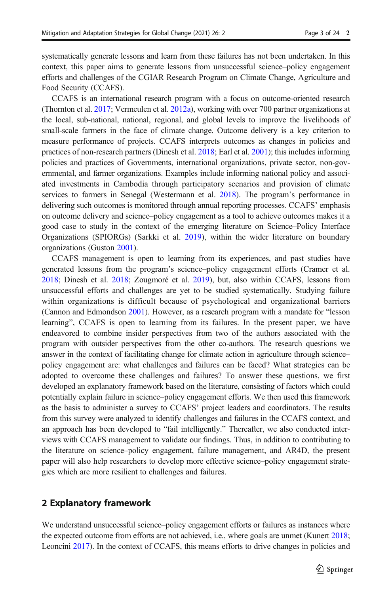systematically generate lessons and learn from these failures has not been undertaken. In this context, this paper aims to generate lessons from unsuccessful science–policy engagement efforts and challenges of the CGIAR Research Program on Climate Change, Agriculture and Food Security (CCAFS).

CCAFS is an international research program with a focus on outcome-oriented research (Thornton et al. [2017](#page-22-0); Vermeulen et al. [2012a\)](#page-22-0), working with over 700 partner organizations at the local, sub-national, national, regional, and global levels to improve the livelihoods of small-scale farmers in the face of climate change. Outcome delivery is a key criterion to measure performance of projects. CCAFS interprets outcomes as changes in policies and practices of non-research partners (Dinesh et al. [2018;](#page-20-0) Earl et al. [2001\)](#page-21-0); this includes informing policies and practices of Governments, international organizations, private sector, non-governmental, and farmer organizations. Examples include informing national policy and associated investments in Cambodia through participatory scenarios and provision of climate services to farmers in Senegal (Westermann et al. [2018\)](#page-23-0). The program's performance in delivering such outcomes is monitored through annual reporting processes. CCAFS' emphasis on outcome delivery and science–policy engagement as a tool to achieve outcomes makes it a good case to study in the context of the emerging literature on Science–Policy Interface Organizations (SPIORGs) (Sarkki et al. [2019](#page-22-0)), within the wider literature on boundary organizations (Guston [2001\)](#page-21-0).

CCAFS management is open to learning from its experiences, and past studies have generated lessons from the program's science–policy engagement efforts (Cramer et al. [2018](#page-20-0); Dinesh et al. [2018;](#page-20-0) Zougmoré et al. [2019\)](#page-23-0), but, also within CCAFS, lessons from unsuccessful efforts and challenges are yet to be studied systematically. Studying failure within organizations is difficult because of psychological and organizational barriers (Cannon and Edmondson [2001\)](#page-20-0). However, as a research program with a mandate for "lesson learning", CCAFS is open to learning from its failures. In the present paper, we have endeavored to combine insider perspectives from two of the authors associated with the program with outsider perspectives from the other co-authors. The research questions we answer in the context of facilitating change for climate action in agriculture through science– policy engagement are: what challenges and failures can be faced? What strategies can be adopted to overcome these challenges and failures? To answer these questions, we first developed an explanatory framework based on the literature, consisting of factors which could potentially explain failure in science–policy engagement efforts. We then used this framework as the basis to administer a survey to CCAFS' project leaders and coordinators. The results from this survey were analyzed to identify challenges and failures in the CCAFS context, and an approach has been developed to "fail intelligently." Thereafter, we also conducted interviews with CCAFS management to validate our findings. Thus, in addition to contributing to the literature on science–policy engagement, failure management, and AR4D, the present paper will also help researchers to develop more effective science–policy engagement strategies which are more resilient to challenges and failures.

### 2 Explanatory framework

We understand unsuccessful science–policy engagement efforts or failures as instances where the expected outcome from efforts are not achieved, i.e., where goals are unmet (Kunert [2018](#page-21-0); Leoncini [2017\)](#page-21-0). In the context of CCAFS, this means efforts to drive changes in policies and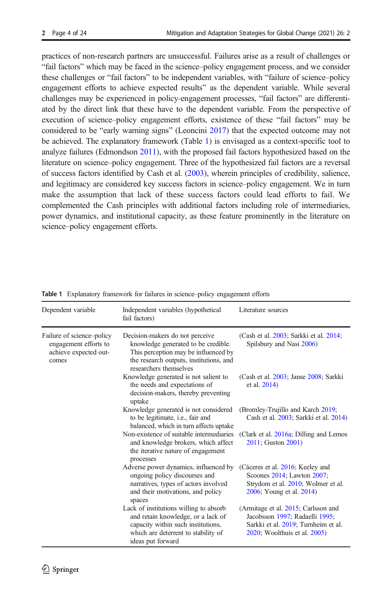<span id="page-3-0"></span>practices of non-research partners are unsuccessful. Failures arise as a result of challenges or "fail factors" which may be faced in the science–policy engagement process, and we consider these challenges or "fail factors" to be independent variables, with "failure of science–policy engagement efforts to achieve expected results" as the dependent variable. While several challenges may be experienced in policy-engagement processes, "fail factors" are differentiated by the direct link that these have to the dependent variable. From the perspective of execution of science–policy engagement efforts, existence of these "fail factors" may be considered to be "early warning signs" (Leoncini [2017\)](#page-21-0) that the expected outcome may not be achieved. The explanatory framework (Table 1) is envisaged as a context-specific tool to analyze failures (Edmondson [2011\)](#page-21-0), with the proposed fail factors hypothesized based on the literature on science–policy engagement. Three of the hypothesized fail factors are a reversal of success factors identified by Cash et al. [\(2003\)](#page-20-0), wherein principles of credibility, salience, and legitimacy are considered key success factors in science–policy engagement. We in turn make the assumption that lack of these success factors could lead efforts to fail. We complemented the Cash principles with additional factors including role of intermediaries, power dynamics, and institutional capacity, as these feature prominently in the literature on science–policy engagement efforts.

| Dependent variable                                                                   | Independent variables (hypothetical<br>fail factors)                                                                                                                                | Literature sources                                                                                                                           |
|--------------------------------------------------------------------------------------|-------------------------------------------------------------------------------------------------------------------------------------------------------------------------------------|----------------------------------------------------------------------------------------------------------------------------------------------|
| Failure of science-policy<br>engagement efforts to<br>achieve expected out-<br>comes | Decision-makers do not perceive<br>knowledge generated to be credible.<br>This perception may be influenced by<br>the research outputs, institutions, and<br>researchers themselves | (Cash et al. 2003; Sarkki et al. 2014;<br>Spilsbury and Nasi 2006)                                                                           |
|                                                                                      | Knowledge generated is not salient to<br>the needs and expectations of<br>decision-makers, thereby preventing<br>uptake                                                             | (Cash et al. 2003; Janse 2008; Sarkki<br>et al. 2014)                                                                                        |
|                                                                                      | Knowledge generated is not considered<br>to be legitimate, <i>i.e.</i> , fair and<br>balanced, which in turn affects uptake                                                         | (Bromley-Trujillo and Karch 2019;<br>Cash et al. 2003; Sarkki et al. 2014)                                                                   |
|                                                                                      | Non-existence of suitable intermediaries<br>and knowledge brokers, which affect<br>the iterative nature of engagement<br>processes                                                  | (Clark et al. 2016a; Dilling and Lemos<br>2011; Guston 2001)                                                                                 |
|                                                                                      | Adverse power dynamics, influenced by<br>ongoing policy discourses and<br>narratives, types of actors involved<br>and their motivations, and policy<br>spaces                       | (Cáceres et al. 2016; Keeley and<br>Scoones 2014; Lawton 2007;<br>Strydom et al. 2010; Wolmer et al.<br>2006; Young et al. 2014)             |
|                                                                                      | Lack of institutions willing to absorb<br>and retain knowledge, or a lack of<br>capacity within such institutions,<br>which are deterrent to stability of<br>ideas put forward      | (Armitage et al. 2015; Carlsson and<br>Jacobsson 1997; Radaelli 1995;<br>Sarkki et al. 2019; Turnheim et al.<br>2020; Woolthuis et al. 2005) |

Table 1 Explanatory framework for failures in science–policy engagement efforts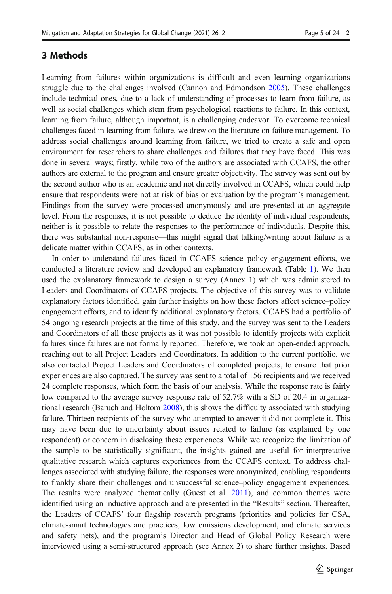#### 3 Methods

Learning from failures within organizations is difficult and even learning organizations struggle due to the challenges involved (Cannon and Edmondson [2005](#page-20-0)). These challenges include technical ones, due to a lack of understanding of processes to learn from failure, as well as social challenges which stem from psychological reactions to failure. In this context, learning from failure, although important, is a challenging endeavor. To overcome technical challenges faced in learning from failure, we drew on the literature on failure management. To address social challenges around learning from failure, we tried to create a safe and open environment for researchers to share challenges and failures that they have faced. This was done in several ways; firstly, while two of the authors are associated with CCAFS, the other authors are external to the program and ensure greater objectivity. The survey was sent out by the second author who is an academic and not directly involved in CCAFS, which could help ensure that respondents were not at risk of bias or evaluation by the program's management. Findings from the survey were processed anonymously and are presented at an aggregate level. From the responses, it is not possible to deduce the identity of individual respondents, neither is it possible to relate the responses to the performance of individuals. Despite this, there was substantial non-response—this might signal that talking/writing about failure is a delicate matter within CCAFS, as in other contexts.

In order to understand failures faced in CCAFS science–policy engagement efforts, we conducted a literature review and developed an explanatory framework (Table [1\)](#page-3-0). We then used the explanatory framework to design a survey (Annex 1) which was administered to Leaders and Coordinators of CCAFS projects. The objective of this survey was to validate explanatory factors identified, gain further insights on how these factors affect science–policy engagement efforts, and to identify additional explanatory factors. CCAFS had a portfolio of 54 ongoing research projects at the time of this study, and the survey was sent to the Leaders and Coordinators of all these projects as it was not possible to identify projects with explicit failures since failures are not formally reported. Therefore, we took an open-ended approach, reaching out to all Project Leaders and Coordinators. In addition to the current portfolio, we also contacted Project Leaders and Coordinators of completed projects, to ensure that prior experiences are also captured. The survey was sent to a total of 156 recipients and we received 24 complete responses, which form the basis of our analysis. While the response rate is fairly low compared to the average survey response rate of 52.7% with a SD of 20.4 in organizational research (Baruch and Holtom [2008](#page-20-0)), this shows the difficulty associated with studying failure. Thirteen recipients of the survey who attempted to answer it did not complete it. This may have been due to uncertainty about issues related to failure (as explained by one respondent) or concern in disclosing these experiences. While we recognize the limitation of the sample to be statistically significant, the insights gained are useful for interpretative qualitative research which captures experiences from the CCAFS context. To address challenges associated with studying failure, the responses were anonymized, enabling respondents to frankly share their challenges and unsuccessful science–policy engagement experiences. The results were analyzed thematically (Guest et al. [2011](#page-21-0)), and common themes were identified using an inductive approach and are presented in the "Results" section. Thereafter, the Leaders of CCAFS' four flagship research programs (priorities and policies for CSA, climate-smart technologies and practices, low emissions development, and climate services and safety nets), and the program's Director and Head of Global Policy Research were interviewed using a semi-structured approach (see Annex 2) to share further insights. Based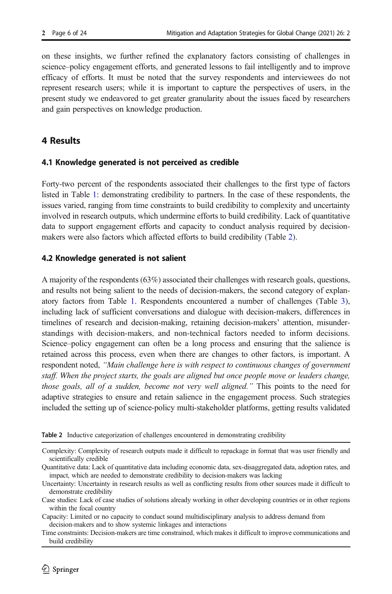on these insights, we further refined the explanatory factors consisting of challenges in science–policy engagement efforts, and generated lessons to fail intelligently and to improve efficacy of efforts. It must be noted that the survey respondents and interviewees do not represent research users; while it is important to capture the perspectives of users, in the present study we endeavored to get greater granularity about the issues faced by researchers and gain perspectives on knowledge production.

## 4 Results

### 4.1 Knowledge generated is not perceived as credible

Forty-two percent of the respondents associated their challenges to the first type of factors listed in Table [1:](#page-3-0) demonstrating credibility to partners. In the case of these respondents, the issues varied, ranging from time constraints to build credibility to complexity and uncertainty involved in research outputs, which undermine efforts to build credibility. Lack of quantitative data to support engagement efforts and capacity to conduct analysis required by decisionmakers were also factors which affected efforts to build credibility (Table 2).

### 4.2 Knowledge generated is not salient

A majority of the respondents (63%) associated their challenges with research goals, questions, and results not being salient to the needs of decision-makers, the second category of explanatory factors from Table [1](#page-3-0). Respondents encountered a number of challenges (Table [3](#page-6-0)), including lack of sufficient conversations and dialogue with decision-makers, differences in timelines of research and decision-making, retaining decision-makers' attention, misunderstandings with decision-makers, and non-technical factors needed to inform decisions. Science–policy engagement can often be a long process and ensuring that the salience is retained across this process, even when there are changes to other factors, is important. A respondent noted, "Main challenge here is with respect to continuous changes of government staff. When the project starts, the goals are aligned but once people move or leaders change, those goals, all of a sudden, become not very well aligned." This points to the need for adaptive strategies to ensure and retain salience in the engagement process. Such strategies included the setting up of science-policy multi-stakeholder platforms, getting results validated

Table 2 Inductive categorization of challenges encountered in demonstrating credibility

Complexity: Complexity of research outputs made it difficult to repackage in format that was user friendly and scientifically credible

Quantitative data: Lack of quantitative data including economic data, sex-disaggregated data, adoption rates, and impact, which are needed to demonstrate credibility to decision-makers was lacking

Uncertainty: Uncertainty in research results as well as conflicting results from other sources made it difficult to demonstrate credibility

Case studies: Lack of case studies of solutions already working in other developing countries or in other regions within the focal country

Capacity: Limited or no capacity to conduct sound multidisciplinary analysis to address demand from decision-makers and to show systemic linkages and interactions

Time constraints: Decision-makers are time constrained, which makes it difficult to improve communications and build credibility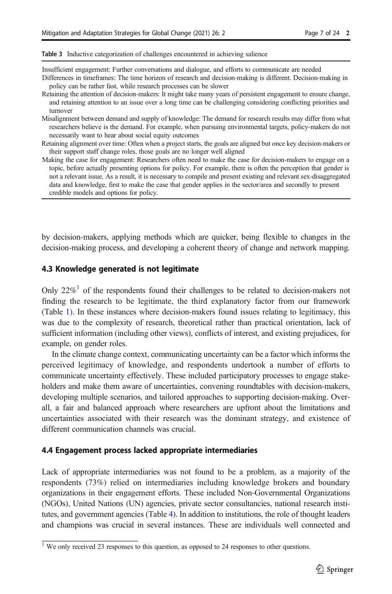<span id="page-6-0"></span>Table 3 Inductive categorization of challenges encountered in achieving salience

Insufficient engagement: Further conversations and dialogue, and efforts to communicate are needed

- Differences in timeframes: The time horizon of research and decision-making is different. Decision-making in policy can be rather fast, while research processes can be slower
- Retaining the attention of decision-makers: It might take many years of persistent engagement to ensure change, and retaining attention to an issue over a long time can be challenging considering conflicting priorities and turnover
- Misalignment between demand and supply of knowledge: The demand for research results may differ from what researchers believe is the demand. For example, when pursuing environmental targets, policy-makers do not necessarily want to hear about social equity outcomes
- Retaining alignment over time: Often when a project starts, the goals are aligned but once key decision-makers or their support staff change roles, those goals are no longer well aligned
- Making the case for engagement: Researchers often need to make the case for decision-makers to engage on a topic, before actually presenting options for policy. For example, there is often the perception that gender is not a relevant issue. As a result, it is necessary to compile and present existing and relevant sex-disaggregated data and knowledge, first to make the case that gender applies in the sector/area and secondly to present credible models and options for policy.

by decision-makers, applying methods which are quicker, being flexible to changes in the decision-making process, and developing a coherent theory of change and network mapping.

#### 4.3 Knowledge generated is not legitimate

Only  $22\%$ <sup>1</sup> of the respondents found their challenges to be related to decision-makers not finding the research to be legitimate, the third explanatory factor from our framework (Table [1](#page-3-0)). In these instances where decision-makers found issues relating to legitimacy, this was due to the complexity of research, theoretical rather than practical orientation, lack of sufficient information (including other views), conflicts of interest, and existing prejudices, for example, on gender roles.

In the climate change context, communicating uncertainty can be a factor which informs the perceived legitimacy of knowledge, and respondents undertook a number of efforts to communicate uncertainty effectively. These included participatory processes to engage stakeholders and make them aware of uncertainties, convening roundtables with decision-makers, developing multiple scenarios, and tailored approaches to supporting decision-making. Overall, a fair and balanced approach where researchers are upfront about the limitations and uncertainties associated with their research was the dominant strategy, and existence of different communication channels was crucial.

#### 4.4 Engagement process lacked appropriate intermediaries

Lack of appropriate intermediaries was not found to be a problem, as a majority of the respondents (73%) relied on intermediaries including knowledge brokers and boundary organizations in their engagement efforts. These included Non-Governmental Organizations (NGOs), United Nations (UN) agencies, private sector consultancies, national research institutes, and government agencies (Table [4\)](#page-7-0). In addition to institutions, the role of thought leaders and champions was crucial in several instances. These are individuals well connected and

 $\frac{1}{1}$  We only received 23 responses to this question, as opposed to 24 responses to other questions.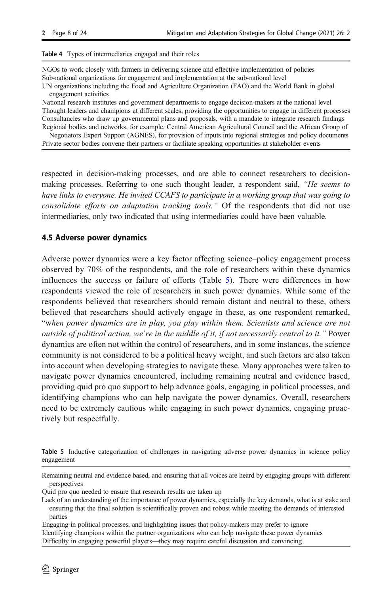<span id="page-7-0"></span>Table 4 Types of intermediaries engaged and their roles

NGOs to work closely with farmers in delivering science and effective implementation of policies Sub-national organizations for engagement and implementation at the sub-national level

UN organizations including the Food and Agriculture Organization (FAO) and the World Bank in global engagement activities

National research institutes and government departments to engage decision-makers at the national level Thought leaders and champions at different scales, providing the opportunities to engage in different processes Consultancies who draw up governmental plans and proposals, with a mandate to integrate research findings Regional bodies and networks, for example, Central American Agricultural Council and the African Group of

Negotiators Expert Support (AGNES), for provision of inputs into regional strategies and policy documents Private sector bodies convene their partners or facilitate speaking opportunities at stakeholder events

respected in decision-making processes, and are able to connect researchers to decisionmaking processes. Referring to one such thought leader, a respondent said, "He seems to have links to everyone. He invited CCAFS to participate in a working group that was going to consolidate efforts on adaptation tracking tools." Of the respondents that did not use intermediaries, only two indicated that using intermediaries could have been valuable.

### 4.5 Adverse power dynamics

Adverse power dynamics were a key factor affecting science–policy engagement process observed by 70% of the respondents, and the role of researchers within these dynamics influences the success or failure of efforts (Table 5). There were differences in how respondents viewed the role of researchers in such power dynamics. While some of the respondents believed that researchers should remain distant and neutral to these, others believed that researchers should actively engage in these, as one respondent remarked, "when power dynamics are in play, you play within them. Scientists and science are not outside of political action, we're in the middle of it, if not necessarily central to it." Power dynamics are often not within the control of researchers, and in some instances, the science community is not considered to be a political heavy weight, and such factors are also taken into account when developing strategies to navigate these. Many approaches were taken to navigate power dynamics encountered, including remaining neutral and evidence based, providing quid pro quo support to help advance goals, engaging in political processes, and identifying champions who can help navigate the power dynamics. Overall, researchers need to be extremely cautious while engaging in such power dynamics, engaging proactively but respectfully.

Table 5 Inductive categorization of challenges in navigating adverse power dynamics in science–policy engagement

Engaging in political processes, and highlighting issues that policy-makers may prefer to ignore Identifying champions within the partner organizations who can help navigate these power dynamics Difficulty in engaging powerful players—they may require careful discussion and convincing

Remaining neutral and evidence based, and ensuring that all voices are heard by engaging groups with different perspectives

Quid pro quo needed to ensure that research results are taken up

Lack of an understanding of the importance of power dynamics, especially the key demands, what is at stake and ensuring that the final solution is scientifically proven and robust while meeting the demands of interested parties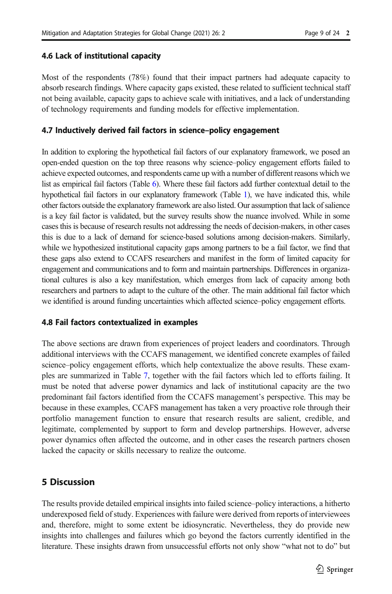### 4.6 Lack of institutional capacity

Most of the respondents (78%) found that their impact partners had adequate capacity to absorb research findings. Where capacity gaps existed, these related to sufficient technical staff not being available, capacity gaps to achieve scale with initiatives, and a lack of understanding of technology requirements and funding models for effective implementation.

### 4.7 Inductively derived fail factors in science–policy engagement

In addition to exploring the hypothetical fail factors of our explanatory framework, we posed an open-ended question on the top three reasons why science–policy engagement efforts failed to achieve expected outcomes, and respondents came up with a number of different reasons which we list as empirical fail factors (Table [6](#page-9-0)). Where these fail factors add further contextual detail to the hypothetical fail factors in our explanatory framework (Table [1\)](#page-3-0), we have indicated this, while other factors outside the explanatory framework are also listed. Our assumption that lack of salience is a key fail factor is validated, but the survey results show the nuance involved. While in some cases this is because of research results not addressing the needs of decision-makers, in other cases this is due to a lack of demand for science-based solutions among decision-makers. Similarly, while we hypothesized institutional capacity gaps among partners to be a fail factor, we find that these gaps also extend to CCAFS researchers and manifest in the form of limited capacity for engagement and communications and to form and maintain partnerships. Differences in organizational cultures is also a key manifestation, which emerges from lack of capacity among both researchers and partners to adapt to the culture of the other. The main additional fail factor which we identified is around funding uncertainties which affected science–policy engagement efforts.

### 4.8 Fail factors contextualized in examples

The above sections are drawn from experiences of project leaders and coordinators. Through additional interviews with the CCAFS management, we identified concrete examples of failed science–policy engagement efforts, which help contextualize the above results. These examples are summarized in Table [7,](#page-11-0) together with the fail factors which led to efforts failing. It must be noted that adverse power dynamics and lack of institutional capacity are the two predominant fail factors identified from the CCAFS management's perspective. This may be because in these examples, CCAFS management has taken a very proactive role through their portfolio management function to ensure that research results are salient, credible, and legitimate, complemented by support to form and develop partnerships. However, adverse power dynamics often affected the outcome, and in other cases the research partners chosen lacked the capacity or skills necessary to realize the outcome.

## 5 Discussion

The results provide detailed empirical insights into failed science–policy interactions, a hitherto underexposed field of study. Experiences with failure were derived from reports of interviewees and, therefore, might to some extent be idiosyncratic. Nevertheless, they do provide new insights into challenges and failures which go beyond the factors currently identified in the literature. These insights drawn from unsuccessful efforts not only show "what not to do" but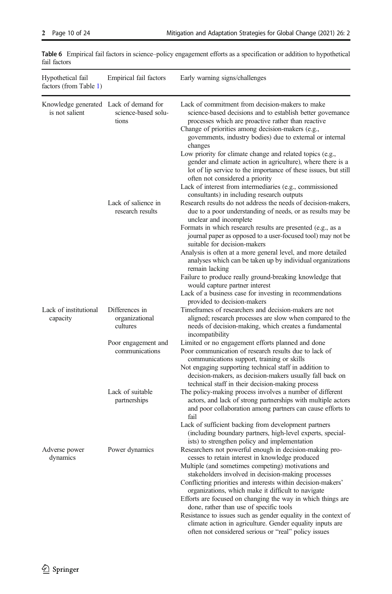| Hypothetical fail<br>factors (from Table 1)              | Empirical fail factors                       | Early warning signs/challenges                                                                                                                                                                                                                                                                   |
|----------------------------------------------------------|----------------------------------------------|--------------------------------------------------------------------------------------------------------------------------------------------------------------------------------------------------------------------------------------------------------------------------------------------------|
| Knowledge generated Lack of demand for<br>is not salient | science-based solu-<br>tions                 | Lack of commitment from decision-makers to make<br>science-based decisions and to establish better governance<br>processes which are proactive rather than reactive<br>Change of priorities among decision-makers (e.g.,<br>governments, industry bodies) due to external or internal<br>changes |
|                                                          |                                              | Low priority for climate change and related topics (e.g.,<br>gender and climate action in agriculture), where there is a<br>lot of lip service to the importance of these issues, but still<br>often not considered a priority<br>Lack of interest from intermediaries (e.g., commissioned       |
|                                                          |                                              | consultants) in including research outputs                                                                                                                                                                                                                                                       |
|                                                          | Lack of salience in                          | Research results do not address the needs of decision-makers,                                                                                                                                                                                                                                    |
|                                                          | research results                             | due to a poor understanding of needs, or as results may be<br>unclear and incomplete                                                                                                                                                                                                             |
|                                                          |                                              | Formats in which research results are presented (e.g., as a<br>journal paper as opposed to a user-focused tool) may not be<br>suitable for decision-makers                                                                                                                                       |
|                                                          |                                              | Analysis is often at a more general level, and more detailed<br>analyses which can be taken up by individual organizations<br>remain lacking                                                                                                                                                     |
|                                                          |                                              | Failure to produce really ground-breaking knowledge that<br>would capture partner interest                                                                                                                                                                                                       |
|                                                          |                                              | Lack of a business case for investing in recommendations<br>provided to decision-makers                                                                                                                                                                                                          |
| Lack of institutional<br>capacity                        | Differences in<br>organizational<br>cultures | Timeframes of researchers and decision-makers are not                                                                                                                                                                                                                                            |
|                                                          |                                              | aligned; research processes are slow when compared to the<br>needs of decision-making, which creates a fundamental<br>incompatibility                                                                                                                                                            |
|                                                          | Poor engagement and<br>communications        | Limited or no engagement efforts planned and done                                                                                                                                                                                                                                                |
|                                                          |                                              | Poor communication of research results due to lack of<br>communications support, training or skills                                                                                                                                                                                              |
|                                                          |                                              | Not engaging supporting technical staff in addition to<br>decision-makers, as decision-makers usually fall back on<br>technical staff in their decision-making process                                                                                                                           |
|                                                          | Lack of suitable<br>partnerships             | The policy-making process involves a number of different<br>actors, and lack of strong partnerships with multiple actors<br>and poor collaboration among partners can cause efforts to<br>fail                                                                                                   |
|                                                          |                                              | Lack of sufficient backing from development partners<br>(including boundary partners, high-level experts, special-<br>ists) to strengthen policy and implementation                                                                                                                              |
| Adverse power<br>dynamics                                | Power dynamics                               | Researchers not powerful enough in decision-making pro-<br>cesses to retain interest in knowledge produced                                                                                                                                                                                       |
|                                                          |                                              | Multiple (and sometimes competing) motivations and<br>stakeholders involved in decision-making processes                                                                                                                                                                                         |
|                                                          |                                              | Conflicting priorities and interests within decision-makers'<br>organizations, which make it difficult to navigate                                                                                                                                                                               |
|                                                          |                                              | Efforts are focused on changing the way in which things are                                                                                                                                                                                                                                      |
|                                                          |                                              | done, rather than use of specific tools<br>Resistance to issues such as gender equality in the context of                                                                                                                                                                                        |
|                                                          |                                              | climate action in agriculture. Gender equality inputs are                                                                                                                                                                                                                                        |
|                                                          |                                              | often not considered serious or "real" policy issues                                                                                                                                                                                                                                             |

<span id="page-9-0"></span>Table 6 Empirical fail factors in science–policy engagement efforts as a specification or addition to hypothetical fail factors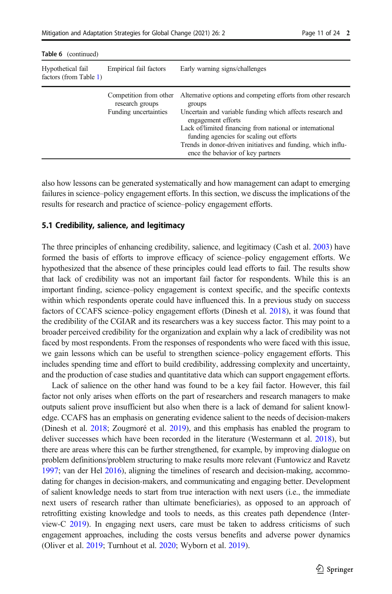Table 6 (continued)

| $i$ and $\sigma$ (community                 |                                           |                                                                                                      |  |  |
|---------------------------------------------|-------------------------------------------|------------------------------------------------------------------------------------------------------|--|--|
| Hypothetical fail<br>factors (from Table 1) | Empirical fail factors                    | Early warning signs/challenges                                                                       |  |  |
|                                             | Competition from other<br>research groups | Alternative options and competing efforts from other research<br>groups                              |  |  |
|                                             | Funding uncertainties                     | Uncertain and variable funding which affects research and<br>engagement efforts                      |  |  |
|                                             |                                           | Lack of/limited financing from national or international<br>funding agencies for scaling out efforts |  |  |
|                                             |                                           | Trends in donor-driven initiatives and funding, which influ-<br>ence the behavior of key partners    |  |  |

also how lessons can be generated systematically and how management can adapt to emerging failures in science–policy engagement efforts. In this section, we discuss the implications of the results for research and practice of science–policy engagement efforts.

#### 5.1 Credibility, salience, and legitimacy

The three principles of enhancing credibility, salience, and legitimacy (Cash et al. [2003\)](#page-20-0) have formed the basis of efforts to improve efficacy of science–policy engagement efforts. We hypothesized that the absence of these principles could lead efforts to fail. The results show that lack of credibility was not an important fail factor for respondents. While this is an important finding, science–policy engagement is context specific, and the specific contexts within which respondents operate could have influenced this. In a previous study on success factors of CCAFS science–policy engagement efforts (Dinesh et al. [2018\)](#page-20-0), it was found that the credibility of the CGIAR and its researchers was a key success factor. This may point to a broader perceived credibility for the organization and explain why a lack of credibility was not faced by most respondents. From the responses of respondents who were faced with this issue, we gain lessons which can be useful to strengthen science–policy engagement efforts. This includes spending time and effort to build credibility, addressing complexity and uncertainty, and the production of case studies and quantitative data which can support engagement efforts.

Lack of salience on the other hand was found to be a key fail factor. However, this fail factor not only arises when efforts on the part of researchers and research managers to make outputs salient prove insufficient but also when there is a lack of demand for salient knowledge. CCAFS has an emphasis on generating evidence salient to the needs of decision-makers (Dinesh et al. [2018](#page-20-0); Zougmoré et al. [2019\)](#page-23-0), and this emphasis has enabled the program to deliver successes which have been recorded in the literature (Westermann et al. [2018](#page-23-0)), but there are areas where this can be further strengthened, for example, by improving dialogue on problem definitions/problem structuring to make results more relevant (Funtowicz and Ravetz [1997](#page-21-0); van der Hel [2016](#page-22-0)), aligning the timelines of research and decision-making, accommodating for changes in decision-makers, and communicating and engaging better. Development of salient knowledge needs to start from true interaction with next users (i.e., the immediate next users of research rather than ultimate beneficiaries), as opposed to an approach of retrofitting existing knowledge and tools to needs, as this creates path dependence (Interview-C [2019\)](#page-21-0). In engaging next users, care must be taken to address criticisms of such engagement approaches, including the costs versus benefits and adverse power dynamics (Oliver et al. [2019](#page-22-0); Turnhout et al. [2020](#page-22-0); Wyborn et al. [2019\)](#page-23-0).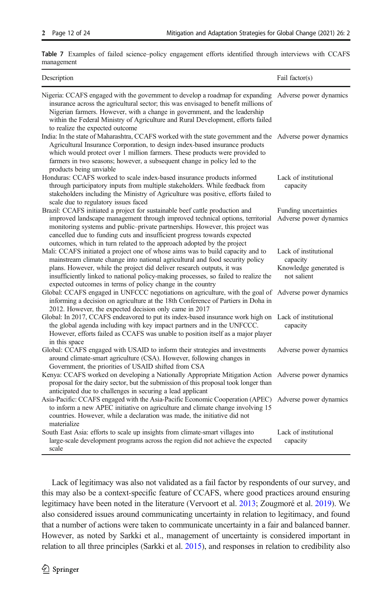<span id="page-11-0"></span>Table 7 Examples of failed science–policy engagement efforts identified through interviews with CCAFS management

| Description                                                                                                                                                                                                                                                                                                                                                                                          | Fail factor(s)                                                             |
|------------------------------------------------------------------------------------------------------------------------------------------------------------------------------------------------------------------------------------------------------------------------------------------------------------------------------------------------------------------------------------------------------|----------------------------------------------------------------------------|
| Nigeria: CCAFS engaged with the government to develop a roadmap for expanding Adverse power dynamics<br>insurance across the agricultural sector; this was envisaged to benefit millions of<br>Nigerian farmers. However, with a change in government, and the leadership<br>within the Federal Ministry of Agriculture and Rural Development, efforts failed<br>to realize the expected outcome     |                                                                            |
| India: In the state of Maharashtra, CCAFS worked with the state government and the Adverse power dynamics<br>Agricultural Insurance Corporation, to design index-based insurance products<br>which would protect over 1 million farmers. These products were provided to<br>farmers in two seasons; however, a subsequent change in policy led to the<br>products being unviable                     |                                                                            |
| Honduras: CCAFS worked to scale index-based insurance products informed<br>through participatory inputs from multiple stakeholders. While feedback from<br>stakeholders including the Ministry of Agriculture was positive, efforts failed to<br>scale due to regulatory issues faced                                                                                                                | Lack of institutional<br>capacity                                          |
| Brazil: CCAFS initiated a project for sustainable beef cattle production and<br>improved landscape management through improved technical options, territorial<br>monitoring systems and public-private partnerships. However, this project was<br>cancelled due to funding cuts and insufficient progress towards expected<br>outcomes, which in turn related to the approach adopted by the project | Funding uncertainties<br>Adverse power dynamics                            |
| Mali: CCAFS initiated a project one of whose aims was to build capacity and to<br>mainstream climate change into national agricultural and food security policy<br>plans. However, while the project did deliver research outputs, it was<br>insufficiently linked to national policy-making processes, so failed to realize the<br>expected outcomes in terms of policy change in the country       | Lack of institutional<br>capacity<br>Knowledge generated is<br>not salient |
| Global: CCAFS engaged in UNFCCC negotiations on agriculture, with the goal of Adverse power dynamics<br>informing a decision on agriculture at the 18th Conference of Partiers in Doha in<br>2012. However, the expected decision only came in 2017                                                                                                                                                  |                                                                            |
| Global: In 2017, CCAFS endeavored to put its index-based insurance work high on<br>the global agenda including with key impact partners and in the UNFCCC.<br>However, efforts failed as CCAFS was unable to position itself as a major player<br>in this space                                                                                                                                      | Lack of institutional<br>capacity                                          |
| Global: CCAFS engaged with USAID to inform their strategies and investments<br>around climate-smart agriculture (CSA). However, following changes in<br>Government, the priorities of USAID shifted from CSA                                                                                                                                                                                         | Adverse power dynamics                                                     |
| Kenya: CCAFS worked on developing a Nationally Appropriate Mitigation Action Adverse power dynamics<br>proposal for the dairy sector, but the submission of this proposal took longer than<br>anticipated due to challenges in securing a lead applicant                                                                                                                                             |                                                                            |
| Asia-Pacific: CCAFS engaged with the Asia-Pacific Economic Cooperation (APEC) Adverse power dynamics<br>to inform a new APEC initiative on agriculture and climate change involving 15<br>countries. However, while a declaration was made, the initiative did not<br>materialize                                                                                                                    |                                                                            |
| South East Asia: efforts to scale up insights from climate-smart villages into<br>large-scale development programs across the region did not achieve the expected<br>scale                                                                                                                                                                                                                           | Lack of institutional<br>capacity                                          |

Lack of legitimacy was also not validated as a fail factor by respondents of our survey, and this may also be a context-specific feature of CCAFS, where good practices around ensuring legitimacy have been noted in the literature (Vervoort et al. [2013;](#page-22-0) Zougmoré et al. [2019\)](#page-23-0). We also considered issues around communicating uncertainty in relation to legitimacy, and found that a number of actions were taken to communicate uncertainty in a fair and balanced banner. However, as noted by Sarkki et al., management of uncertainty is considered important in relation to all three principles (Sarkki et al. [2015](#page-22-0)), and responses in relation to credibility also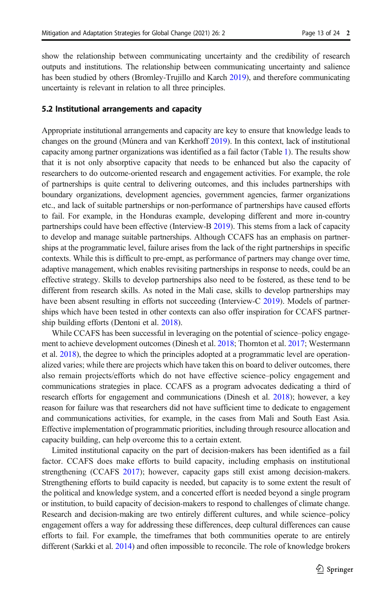show the relationship between communicating uncertainty and the credibility of research outputs and institutions. The relationship between communicating uncertainty and salience has been studied by others (Bromley-Trujillo and Karch [2019](#page-20-0)), and therefore communicating uncertainty is relevant in relation to all three principles.

#### 5.2 Institutional arrangements and capacity

Appropriate institutional arrangements and capacity are key to ensure that knowledge leads to changes on the ground (Múnera and van Kerkhoff [2019\)](#page-22-0). In this context, lack of institutional capacity among partner organizations was identified as a fail factor (Table [1](#page-3-0)). The results show that it is not only absorptive capacity that needs to be enhanced but also the capacity of researchers to do outcome-oriented research and engagement activities. For example, the role of partnerships is quite central to delivering outcomes, and this includes partnerships with boundary organizations, development agencies, government agencies, farmer organizations etc., and lack of suitable partnerships or non-performance of partnerships have caused efforts to fail. For example, in the Honduras example, developing different and more in-country partnerships could have been effective (Interview-B [2019](#page-21-0)). This stems from a lack of capacity to develop and manage suitable partnerships. Although CCAFS has an emphasis on partnerships at the programmatic level, failure arises from the lack of the right partnerships in specific contexts. While this is difficult to pre-empt, as performance of partners may change over time, adaptive management, which enables revisiting partnerships in response to needs, could be an effective strategy. Skills to develop partnerships also need to be fostered, as these tend to be different from research skills. As noted in the Mali case, skills to develop partnerships may have been absent resulting in efforts not succeeding (Interview-C [2019\)](#page-21-0). Models of partnerships which have been tested in other contexts can also offer inspiration for CCAFS partnership building efforts (Dentoni et al. [2018](#page-20-0)).

While CCAFS has been successful in leveraging on the potential of science–policy engagement to achieve development outcomes (Dinesh et al. [2018;](#page-20-0) Thornton et al. [2017;](#page-22-0) Westermann et al. [2018\)](#page-23-0), the degree to which the principles adopted at a programmatic level are operationalized varies; while there are projects which have taken this on board to deliver outcomes, there also remain projects/efforts which do not have effective science–policy engagement and communications strategies in place. CCAFS as a program advocates dedicating a third of research efforts for engagement and communications (Dinesh et al. [2018\)](#page-20-0); however, a key reason for failure was that researchers did not have sufficient time to dedicate to engagement and communications activities, for example, in the cases from Mali and South East Asia. Effective implementation of programmatic priorities, including through resource allocation and capacity building, can help overcome this to a certain extent.

Limited institutional capacity on the part of decision-makers has been identified as a fail factor. CCAFS does make efforts to build capacity, including emphasis on institutional strengthening (CCAFS [2017\)](#page-20-0); however, capacity gaps still exist among decision-makers. Strengthening efforts to build capacity is needed, but capacity is to some extent the result of the political and knowledge system, and a concerted effort is needed beyond a single program or institution, to build capacity of decision-makers to respond to challenges of climate change. Research and decision-making are two entirely different cultures, and while science–policy engagement offers a way for addressing these differences, deep cultural differences can cause efforts to fail. For example, the timeframes that both communities operate to are entirely different (Sarkki et al. [2014\)](#page-22-0) and often impossible to reconcile. The role of knowledge brokers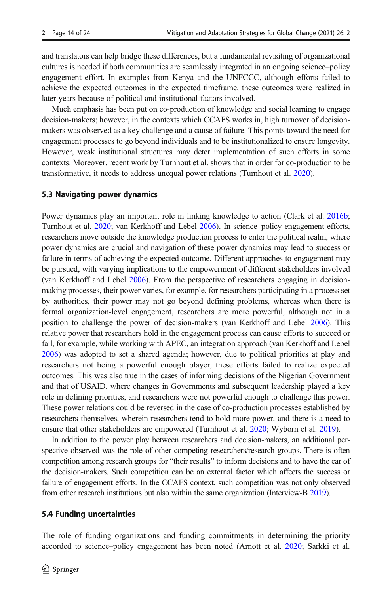and translators can help bridge these differences, but a fundamental revisiting of organizational cultures is needed if both communities are seamlessly integrated in an ongoing science–policy engagement effort. In examples from Kenya and the UNFCCC, although efforts failed to achieve the expected outcomes in the expected timeframe, these outcomes were realized in later years because of political and institutional factors involved.

Much emphasis has been put on co-production of knowledge and social learning to engage decision-makers; however, in the contexts which CCAFS works in, high turnover of decisionmakers was observed as a key challenge and a cause of failure. This points toward the need for engagement processes to go beyond individuals and to be institutionalized to ensure longevity. However, weak institutional structures may deter implementation of such efforts in some contexts. Moreover, recent work by Turnhout et al. shows that in order for co-production to be transformative, it needs to address unequal power relations (Turnhout et al. [2020\)](#page-22-0).

#### 5.3 Navigating power dynamics

Power dynamics play an important role in linking knowledge to action (Clark et al. [2016b](#page-20-0); Turnhout et al. [2020](#page-22-0); van Kerkhoff and Lebel [2006](#page-22-0)). In science–policy engagement efforts, researchers move outside the knowledge production process to enter the political realm, where power dynamics are crucial and navigation of these power dynamics may lead to success or failure in terms of achieving the expected outcome. Different approaches to engagement may be pursued, with varying implications to the empowerment of different stakeholders involved (van Kerkhoff and Lebel [2006\)](#page-22-0). From the perspective of researchers engaging in decisionmaking processes, their power varies, for example, for researchers participating in a process set by authorities, their power may not go beyond defining problems, whereas when there is formal organization-level engagement, researchers are more powerful, although not in a position to challenge the power of decision-makers (van Kerkhoff and Lebel [2006\)](#page-22-0). This relative power that researchers hold in the engagement process can cause efforts to succeed or fail, for example, while working with APEC, an integration approach (van Kerkhoff and Lebel [2006](#page-22-0)) was adopted to set a shared agenda; however, due to political priorities at play and researchers not being a powerful enough player, these efforts failed to realize expected outcomes. This was also true in the cases of informing decisions of the Nigerian Government and that of USAID, where changes in Governments and subsequent leadership played a key role in defining priorities, and researchers were not powerful enough to challenge this power. These power relations could be reversed in the case of co-production processes established by researchers themselves, wherein researchers tend to hold more power, and there is a need to ensure that other stakeholders are empowered (Turnhout et al. [2020;](#page-22-0) Wyborn et al. [2019\)](#page-23-0).

In addition to the power play between researchers and decision-makers, an additional perspective observed was the role of other competing researchers/research groups. There is often competition among research groups for "their results" to inform decisions and to have the ear of the decision-makers. Such competition can be an external factor which affects the success or failure of engagement efforts. In the CCAFS context, such competition was not only observed from other research institutions but also within the same organization (Interview-B [2019\)](#page-21-0).

#### 5.4 Funding uncertainties

The role of funding organizations and funding commitments in determining the priority accorded to science–policy engagement has been noted (Arnott et al. [2020](#page-20-0); Sarkki et al.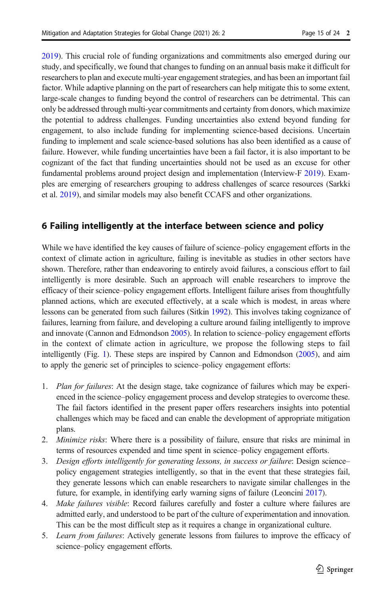[2019](#page-22-0)). This crucial role of funding organizations and commitments also emerged during our study, and specifically, we found that changes to funding on an annual basis make it difficult for researchers to plan and execute multi-year engagement strategies, and has been an important fail factor. While adaptive planning on the part of researchers can help mitigate this to some extent, large-scale changes to funding beyond the control of researchers can be detrimental. This can only be addressed through multi-year commitments and certainty from donors, which maximize the potential to address challenges. Funding uncertainties also extend beyond funding for engagement, to also include funding for implementing science-based decisions. Uncertain funding to implement and scale science-based solutions has also been identified as a cause of failure. However, while funding uncertainties have been a fail factor, it is also important to be cognizant of the fact that funding uncertainties should not be used as an excuse for other fundamental problems around project design and implementation (Interview-F [2019\)](#page-21-0). Examples are emerging of researchers grouping to address challenges of scarce resources (Sarkki et al. [2019\)](#page-22-0), and similar models may also benefit CCAFS and other organizations.

## 6 Failing intelligently at the interface between science and policy

While we have identified the key causes of failure of science–policy engagement efforts in the context of climate action in agriculture, failing is inevitable as studies in other sectors have shown. Therefore, rather than endeavoring to entirely avoid failures, a conscious effort to fail intelligently is more desirable. Such an approach will enable researchers to improve the efficacy of their science–policy engagement efforts. Intelligent failure arises from thoughtfully planned actions, which are executed effectively, at a scale which is modest, in areas where lessons can be generated from such failures (Sitkin [1992\)](#page-22-0). This involves taking cognizance of failures, learning from failure, and developing a culture around failing intelligently to improve and innovate (Cannon and Edmondson [2005\)](#page-20-0). In relation to science–policy engagement efforts in the context of climate action in agriculture, we propose the following steps to fail intelligently (Fig. [1\)](#page-15-0). These steps are inspired by Cannon and Edmondson ([2005](#page-20-0)), and aim to apply the generic set of principles to science–policy engagement efforts:

- 1. Plan for failures: At the design stage, take cognizance of failures which may be experienced in the science–policy engagement process and develop strategies to overcome these. The fail factors identified in the present paper offers researchers insights into potential challenges which may be faced and can enable the development of appropriate mitigation plans.
- 2. *Minimize risks*: Where there is a possibility of failure, ensure that risks are minimal in terms of resources expended and time spent in science–policy engagement efforts.
- 3. Design efforts intelligently for generating lessons, in success or failure: Design science– policy engagement strategies intelligently, so that in the event that these strategies fail, they generate lessons which can enable researchers to navigate similar challenges in the future, for example, in identifying early warning signs of failure (Leoncini [2017](#page-21-0)).
- 4. Make failures visible: Record failures carefully and foster a culture where failures are admitted early, and understood to be part of the culture of experimentation and innovation. This can be the most difficult step as it requires a change in organizational culture.
- 5. Learn from failures: Actively generate lessons from failures to improve the efficacy of science–policy engagement efforts.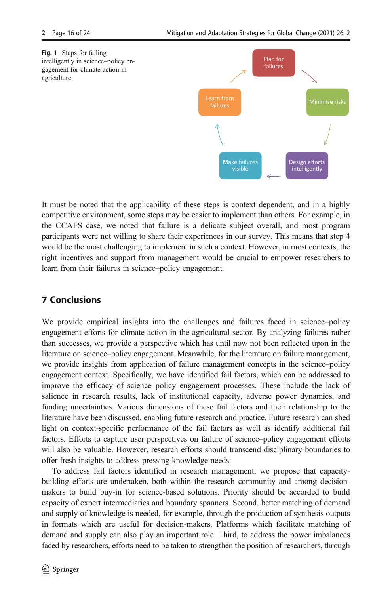<span id="page-15-0"></span>



It must be noted that the applicability of these steps is context dependent, and in a highly competitive environment, some steps may be easier to implement than others. For example, in the CCAFS case, we noted that failure is a delicate subject overall, and most program participants were not willing to share their experiences in our survey. This means that step 4 would be the most challenging to implement in such a context. However, in most contexts, the right incentives and support from management would be crucial to empower researchers to learn from their failures in science–policy engagement.

## 7 Conclusions

We provide empirical insights into the challenges and failures faced in science–policy engagement efforts for climate action in the agricultural sector. By analyzing failures rather than successes, we provide a perspective which has until now not been reflected upon in the literature on science–policy engagement. Meanwhile, for the literature on failure management, we provide insights from application of failure management concepts in the science–policy engagement context. Specifically, we have identified fail factors, which can be addressed to improve the efficacy of science–policy engagement processes. These include the lack of salience in research results, lack of institutional capacity, adverse power dynamics, and funding uncertainties. Various dimensions of these fail factors and their relationship to the literature have been discussed, enabling future research and practice. Future research can shed light on context-specific performance of the fail factors as well as identify additional fail factors. Efforts to capture user perspectives on failure of science–policy engagement efforts will also be valuable. However, research efforts should transcend disciplinary boundaries to offer fresh insights to address pressing knowledge needs.

To address fail factors identified in research management, we propose that capacitybuilding efforts are undertaken, both within the research community and among decisionmakers to build buy-in for science-based solutions. Priority should be accorded to build capacity of expert intermediaries and boundary spanners. Second, better matching of demand and supply of knowledge is needed, for example, through the production of synthesis outputs in formats which are useful for decision-makers. Platforms which facilitate matching of demand and supply can also play an important role. Third, to address the power imbalances faced by researchers, efforts need to be taken to strengthen the position of researchers, through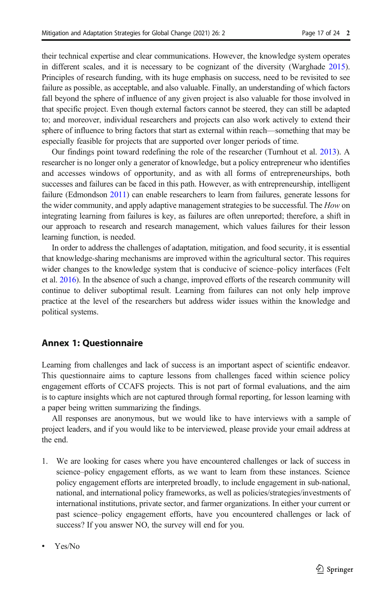their technical expertise and clear communications. However, the knowledge system operates in different scales, and it is necessary to be cognizant of the diversity (Warghade [2015](#page-23-0)). Principles of research funding, with its huge emphasis on success, need to be revisited to see failure as possible, as acceptable, and also valuable. Finally, an understanding of which factors fall beyond the sphere of influence of any given project is also valuable for those involved in that specific project. Even though external factors cannot be steered, they can still be adapted to; and moreover, individual researchers and projects can also work actively to extend their sphere of influence to bring factors that start as external within reach—something that may be especially feasible for projects that are supported over longer periods of time.

Our findings point toward redefining the role of the researcher (Turnhout et al. [2013](#page-22-0)). A researcher is no longer only a generator of knowledge, but a policy entrepreneur who identifies and accesses windows of opportunity, and as with all forms of entrepreneurships, both successes and failures can be faced in this path. However, as with entrepreneurship, intelligent failure (Edmondson [2011\)](#page-21-0) can enable researchers to learn from failures, generate lessons for the wider community, and apply adaptive management strategies to be successful. The How on integrating learning from failures is key, as failures are often unreported; therefore, a shift in our approach to research and research management, which values failures for their lesson learning function, is needed.

In order to address the challenges of adaptation, mitigation, and food security, it is essential that knowledge-sharing mechanisms are improved within the agricultural sector. This requires wider changes to the knowledge system that is conducive of science–policy interfaces (Felt et al. [2016](#page-21-0)). In the absence of such a change, improved efforts of the research community will continue to deliver suboptimal result. Learning from failures can not only help improve practice at the level of the researchers but address wider issues within the knowledge and political systems.

## Annex 1: Questionnaire

Learning from challenges and lack of success is an important aspect of scientific endeavor. This questionnaire aims to capture lessons from challenges faced within science policy engagement efforts of CCAFS projects. This is not part of formal evaluations, and the aim is to capture insights which are not captured through formal reporting, for lesson learning with a paper being written summarizing the findings.

All responses are anonymous, but we would like to have interviews with a sample of project leaders, and if you would like to be interviewed, please provide your email address at the end.

- 1. We are looking for cases where you have encountered challenges or lack of success in science–policy engagement efforts, as we want to learn from these instances. Science policy engagement efforts are interpreted broadly, to include engagement in sub-national, national, and international policy frameworks, as well as policies/strategies/investments of international institutions, private sector, and farmer organizations. In either your current or past science–policy engagement efforts, have you encountered challenges or lack of success? If you answer NO, the survey will end for you.
- Yes/No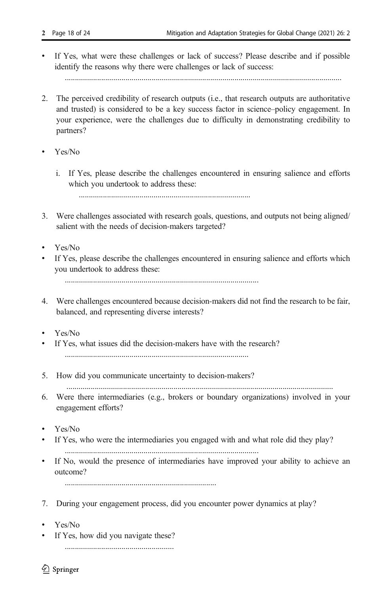If Yes, what were these challenges or lack of success? Please describe and if possible identify the reasons why there were challenges or lack of success:

.........................................................................................................................................

- 2. The perceived credibility of research outputs (i.e., that research outputs are authoritative and trusted) is considered to be a key success factor in science–policy engagement. In your experience, were the challenges due to difficulty in demonstrating credibility to partners?
- $Y_{\text{ex}}/N_0$ 
	- i. If Yes, please describe the challenges encountered in ensuring salience and efforts which you undertook to address these:

.....................................................................................

- 3. Were challenges associated with research goals, questions, and outputs not being aligned/ salient with the needs of decision-makers targeted?
- Yes/No
- If Yes, please describe the challenges encountered in ensuring salience and efforts which you undertook to address these:

................................................................................................

- 4. Were challenges encountered because decision-makers did not find the research to be fair, balanced, and representing diverse interests?
- Yes/No
- & If Yes, what issues did the decision-makers have with the research? ...........................................................................................
- 5. How did you communicate uncertainty to decision-makers?

....................................................................................................................................

- 6. Were there intermediaries (e.g., brokers or boundary organizations) involved in your engagement efforts?
- Yes/No
- If Yes, who were the intermediaries you engaged with and what role did they play? ................................................................................................
- & If No, would the presence of intermediaries have improved your ability to achieve an outcome?

...........................................................................

- 7. During your engagement process, did you encounter power dynamics at play?
- Yes/No
- If Yes, how did you navigate these?

......................................................

 $\mathcal{D}$  Springer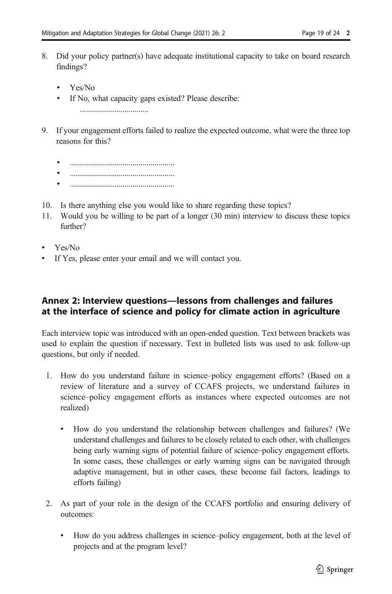- 8. Did your policy partner(s) have adequate institutional capacity to take on board research findings?
	- Yes/No
	- If No, what capacity gaps existed? Please describe:

..................................

- 9. If your engagement efforts failed to realize the expected outcome, what were the three top reasons for this?
	-
	- & ....................................................
	- & ....................................................
- 10. Is there anything else you would like to share regarding these topics?
- 11. Would you be willing to be part of a longer (30 min) interview to discuss these topics further?
- Yes/No
- If Yes, please enter your email and we will contact you.

## Annex 2: Interview questions—lessons from challenges and failures at the interface of science and policy for climate action in agriculture

Each interview topic was introduced with an open-ended question. Text between brackets was used to explain the question if necessary. Text in bulleted lists was used to ask follow-up questions, but only if needed.

- 1. How do you understand failure in science–policy engagement efforts? (Based on a review of literature and a survey of CCAFS projects, we understand failures in science–policy engagement efforts as instances where expected outcomes are not realized)
	- & How do you understand the relationship between challenges and failures? (We understand challenges and failures to be closely related to each other, with challenges being early warning signs of potential failure of science–policy engagement efforts. In some cases, these challenges or early warning signs can be navigated through adaptive management, but in other cases, these become fail factors, leadings to efforts failing)
- 2. As part of your role in the design of the CCAFS portfolio and ensuring delivery of outcomes:
	- How do you address challenges in science–policy engagement, both at the level of projects and at the program level?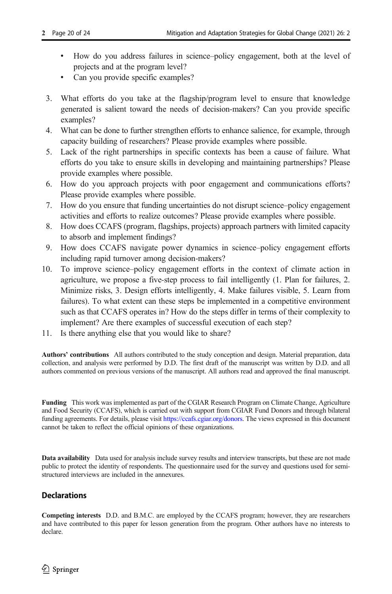- & How do you address failures in science–policy engagement, both at the level of projects and at the program level?
- Can you provide specific examples?
- 3. What efforts do you take at the flagship/program level to ensure that knowledge generated is salient toward the needs of decision-makers? Can you provide specific examples?
- 4. What can be done to further strengthen efforts to enhance salience, for example, through capacity building of researchers? Please provide examples where possible.
- 5. Lack of the right partnerships in specific contexts has been a cause of failure. What efforts do you take to ensure skills in developing and maintaining partnerships? Please provide examples where possible.
- 6. How do you approach projects with poor engagement and communications efforts? Please provide examples where possible.
- 7. How do you ensure that funding uncertainties do not disrupt science–policy engagement activities and efforts to realize outcomes? Please provide examples where possible.
- 8. How does CCAFS (program, flagships, projects) approach partners with limited capacity to absorb and implement findings?
- 9. How does CCAFS navigate power dynamics in science–policy engagement efforts including rapid turnover among decision-makers?
- 10. To improve science–policy engagement efforts in the context of climate action in agriculture, we propose a five-step process to fail intelligently (1. Plan for failures, 2. Minimize risks, 3. Design efforts intelligently, 4. Make failures visible, 5. Learn from failures). To what extent can these steps be implemented in a competitive environment such as that CCAFS operates in? How do the steps differ in terms of their complexity to implement? Are there examples of successful execution of each step?
- 11. Is there anything else that you would like to share?

Authors' contributions All authors contributed to the study conception and design. Material preparation, data collection, and analysis were performed by D.D. The first draft of the manuscript was written by D.D. and all authors commented on previous versions of the manuscript. All authors read and approved the final manuscript.

Funding This work was implemented as part of the CGIAR Research Program on Climate Change, Agriculture and Food Security (CCAFS), which is carried out with support from CGIAR Fund Donors and through bilateral funding agreements. For details, please visit [https://ccafs.cgiar.org/donors.](https://ccafs.cgiar.org/donors) The views expressed in this document cannot be taken to reflect the official opinions of these organizations.

Data availability Data used for analysis include survey results and interview transcripts, but these are not made public to protect the identity of respondents. The questionnaire used for the survey and questions used for semistructured interviews are included in the annexures.

### **Declarations**

Competing interests D.D. and B.M.C. are employed by the CCAFS program; however, they are researchers and have contributed to this paper for lesson generation from the program. Other authors have no interests to declare.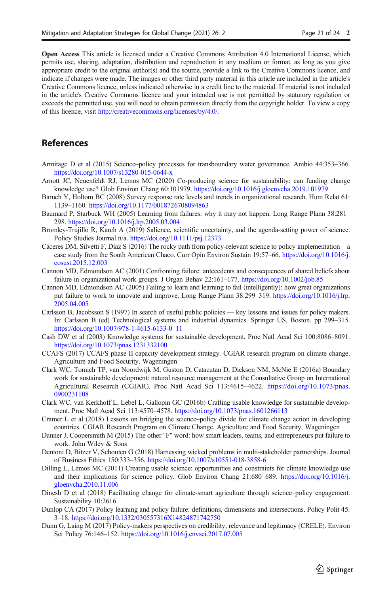<span id="page-20-0"></span>Open Access This article is licensed under a Creative Commons Attribution 4.0 International License, which permits use, sharing, adaptation, distribution and reproduction in any medium or format, as long as you give appropriate credit to the original author(s) and the source, provide a link to the Creative Commons licence, and indicate if changes were made. The images or other third party material in this article are included in the article's Creative Commons licence, unless indicated otherwise in a credit line to the material. If material is not included in the article's Creative Commons licence and your intended use is not permitted by statutory regulation or exceeds the permitted use, you will need to obtain permission directly from the copyright holder. To view a copy of this licence, visit [http://creativecommons.org/licenses/by/4.0/.](https://doi.org/)

### References

- Armitage D et al (2015) Science–policy processes for transboundary water governance. Ambio 44:353–366. <https://doi.org/10.1007/s13280-015-0644-x>
- Arnott JC, Neuenfeldt RJ, Lemos MC (2020) Co-producing science for sustainability: can funding change knowledge use? Glob Environ Chang 60:101979. <https://doi.org/10.1016/j.gloenvcha.2019.101979>
- Baruch Y, Holtom BC (2008) Survey response rate levels and trends in organizational research. Hum Relat 61: 1139–1160. <https://doi.org/10.1177/0018726708094863>
- Baumard P, Starbuck WH (2005) Learning from failures: why it may not happen. Long Range Plann 38:281– 298. <https://doi.org/10.1016/j.lrp.2005.03.004>
- Bromley-Trujillo R, Karch A (2019) Salience, scientific uncertainty, and the agenda-setting power of science. Policy Studies Journal n/a. <https://doi.org/10.1111/psj.12373>
- Cáceres DM, Silvetti F, Díaz S (2016) The rocky path from policy-relevant science to policy implementation—a case study from the South American Chaco. Curr Opin Environ Sustain 19:57–66. [https://doi.org/10.1016/j.](https://doi.org/10.1016/j.cosust.2015.12.003) [cosust.2015.12.003](https://doi.org/10.1016/j.cosust.2015.12.003)
- Cannon MD, Edmondson AC (2001) Confronting failure: antecedents and consequences of shared beliefs about failure in organizational work groups. J Organ Behav 22:161–177. <https://doi.org/10.1002/job.85>
- Cannon MD, Edmondson AC (2005) Failing to learn and learning to fail (intelligently): how great organizations put failure to work to innovate and improve. Long Range Plann 38:299–319. [https://doi.org/10.1016/j.lrp.](https://doi.org/10.1016/j.lrp.2005.04.005) [2005.04.005](https://doi.org/10.1016/j.lrp.2005.04.005)
- Carlsson B, Jacobsson S (1997) In search of useful public policies key lessons and issues for policy makers. In: Carlsson B (ed) Technological systems and industrial dynamics. Springer US, Boston, pp 299–315. [https://doi.org/10.1007/978-1-4615-6133-0\\_11](https://doi.org/10.1007/978-1-4615-6133-0_11)
- Cash DW et al (2003) Knowledge systems for sustainable development. Proc Natl Acad Sci 100:8086–8091. <https://doi.org/10.1073/pnas.1231332100>
- CCAFS (2017) CCAFS phase II capacity development strategy. CGIAR research program on climate change. Agriculture and Food Security, Wageningen
- Clark WC, Tomich TP, van Noordwijk M, Guston D, Catacutan D, Dickson NM, McNie E (2016a) Boundary work for sustainable development: natural resource management at the Consultative Group on International Agricultural Research (CGIAR). Proc Natl Acad Sci 113:4615–4622. [https://doi.org/10.1073/pnas.](https://doi.org/10.1073/pnas.0900231108) [0900231108](https://doi.org/10.1073/pnas.0900231108)
- Clark WC, van Kerkhoff L, Lebel L, Gallopin GC (2016b) Crafting usable knowledge for sustainable development. Proc Natl Acad Sci 113:4570–4578. <https://doi.org/10.1073/pnas.1601266113>
- Cramer L et al (2018) Lessons on bridging the science–policy divide for climate change action in developing countries. CGIAR Research Program on Climate Change, Agriculture and Food Security, Wageningen
- Danner J, Coopersmith M (2015) The other "F" word: how smart leaders, teams, and entrepreneurs put failure to work. John Wiley & Sons
- Dentoni D, Bitzer V, Schouten G (2018) Harnessing wicked problems in multi-stakeholder partnerships. Journal of Business Ethics 150:333–356. <https://doi.org/10.1007/s10551-018-3858-6>
- Dilling L, Lemos MC (2011) Creating usable science: opportunities and constraints for climate knowledge use and their implications for science policy. Glob Environ Chang 21:680–689. [https://doi.org/10.1016/j.](https://doi.org/10.1016/j.gloenvcha.2010.11.006) [gloenvcha.2010.11.006](https://doi.org/10.1016/j.gloenvcha.2010.11.006)
- Dinesh D et al (2018) Facilitating change for climate-smart agriculture through science–policy engagement. Sustainability 10:2616
- Dunlop CA (2017) Policy learning and policy failure: definitions, dimensions and intersections. Policy Polit 45: 3–18. <https://doi.org/10.1332/030557316X14824871742750>
- Dunn G, Laing M (2017) Policy-makers perspectives on credibility, relevance and legitimacy (CRELE). Environ Sci Policy 76:146–152. <https://doi.org/10.1016/j.envsci.2017.07.005>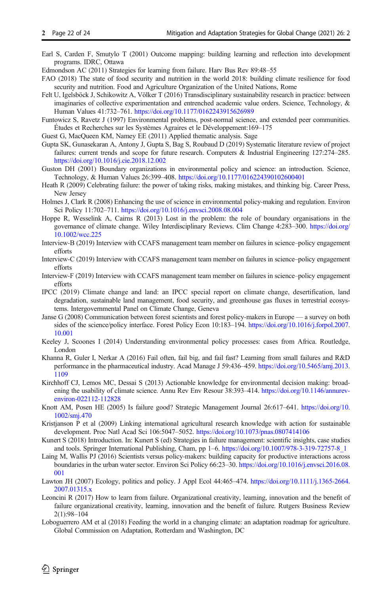- <span id="page-21-0"></span>Earl S, Carden F, Smutylo T (2001) Outcome mapping: building learning and reflection into development programs. IDRC, Ottawa
- Edmondson AC (2011) Strategies for learning from failure. Harv Bus Rev 89:48–55
- FAO (2018) The state of food security and nutrition in the world 2018: building climate resilience for food security and nutrition. Food and Agriculture Organization of the United Nations, Rome
- Felt U, Igelsböck J, Schikowitz A, Völker T (2016) Transdisciplinary sustainability research in practice: between imaginaries of collective experimentation and entrenched academic value orders. Science, Technology, & Human Values 41:732–761. <https://doi.org/10.1177/0162243915626989>
- Funtowicz S, Ravetz J (1997) Environmental problems, post-normal science, and extended peer communities. Études et Recherches sur les Systèmes Agraires et le Développement:169–175
- Guest G, MacQueen KM, Namey EE (2011) Applied thematic analysis. Sage
- Gupta SK, Gunasekaran A, Antony J, Gupta S, Bag S, Roubaud D (2019) Systematic literature review of project failures: current trends and scope for future research. Computers & Industrial Engineering 127:274–285. <https://doi.org/10.1016/j.cie.2018.12.002>
- Guston DH (2001) Boundary organizations in environmental policy and science: an introduction. Science, Technology, & Human Values 26:399–408. <https://doi.org/10.1177/016224390102600401>
- Heath R (2009) Celebrating failure: the power of taking risks, making mistakes, and thinking big. Career Press, New Jersey
- Holmes J, Clark R (2008) Enhancing the use of science in environmental policy-making and regulation. Environ Sci Policy 11:702–711. <https://doi.org/10.1016/j.envsci.2008.08.004>
- Hoppe R, Wesselink A, Cairns R (2013) Lost in the problem: the role of boundary organisations in the governance of climate change. Wiley Interdisciplinary Reviews. Clim Change 4:283–300. [https://doi.org/](https://doi.org/10.1002/wcc.225) [10.1002/wcc.225](https://doi.org/10.1002/wcc.225)
- Interview-B (2019) Interview with CCAFS management team member on failures in science–policy engagement efforts
- Interview-C (2019) Interview with CCAFS management team member on failures in science–policy engagement efforts
- Interview-F (2019) Interview with CCAFS management team member on failures in science–policy engagement efforts
- IPCC (2019) Climate change and land: an IPCC special report on climate change, desertification, land degradation, sustainable land management, food security, and greenhouse gas fluxes in terrestrial ecosystems. Intergovernmental Panel on Climate Change, Geneva
- Janse G (2008) Communication between forest scientists and forest policy-makers in Europe a survey on both sides of the science/policy interface. Forest Policy Econ 10:183–194. [https://doi.org/10.1016/j.forpol.2007.](https://doi.org/10.1016/j.forpol.2007.10.001) [10.001](https://doi.org/10.1016/j.forpol.2007.10.001)
- Keeley J, Scoones I (2014) Understanding environmental policy processes: cases from Africa. Routledge, London
- Khanna R, Guler I, Nerkar A (2016) Fail often, fail big, and fail fast? Learning from small failures and R&D performance in the pharmaceutical industry. Acad Manage J 59:436–459. [https://doi.org/10.5465/amj.2013.](https://doi.org/10.5465/amj.2013.1109) [1109](https://doi.org/10.5465/amj.2013.1109)
- Kirchhoff CJ, Lemos MC, Dessai S (2013) Actionable knowledge for environmental decision making: broadening the usability of climate science. Annu Rev Env Resour 38:393–414. [https://doi.org/10.1146/annurev](https://doi.org/10.1146/annurev-environ-022112-112828)[environ-022112-112828](https://doi.org/10.1146/annurev-environ-022112-112828)
- Knott AM, Posen HE (2005) Is failure good? Strategic Management Journal 26:617–641. [https://doi.org/10.](https://doi.org/10.1002/smj.470) [1002/smj.470](https://doi.org/10.1002/smj.470)
- Kristjanson P et al (2009) Linking international agricultural research knowledge with action for sustainable development. Proc Natl Acad Sci 106:5047–5052. <https://doi.org/10.1073/pnas.0807414106>
- Kunert S (2018) Introduction. In: Kunert S (ed) Strategies in failure management: scientific insights, case studies and tools. Springer International Publishing, Cham, pp 1–6. [https://doi.org/10.1007/978-3-319-72757-8\\_1](https://doi.org/10.1007/978-3-319-72757-8_1)
- Laing M, Wallis PJ (2016) Scientists versus policy-makers: building capacity for productive interactions across boundaries in the urban water sector. Environ Sci Policy 66:23–30. [https://doi.org/10.1016/j.envsci.2016.08.](https://doi.org/10.1016/j.envsci.2016.08.001) [001](https://doi.org/10.1016/j.envsci.2016.08.001)
- Lawton JH (2007) Ecology, politics and policy. J Appl Ecol 44:465–474. [https://doi.org/10.1111/j.1365-2664.](https://doi.org/10.1111/j.1365-2664.2007.01315.x) [2007.01315.x](https://doi.org/10.1111/j.1365-2664.2007.01315.x)
- Leoncini R (2017) How to learn from failure. Organizational creativity, learning, innovation and the benefit of failure organizational creativity, learning, innovation and the benefit of failure. Rutgers Business Review 2(1):98–104
- Loboguerrero AM et al (2018) Feeding the world in a changing climate: an adaptation roadmap for agriculture. Global Commission on Adaptation, Rotterdam and Washington, DC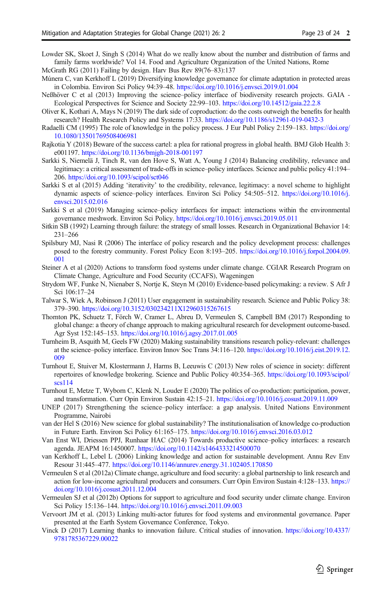- <span id="page-22-0"></span>Lowder SK, Skoet J, Singh S (2014) What do we really know about the number and distribution of farms and family farms worldwide? Vol 14. Food and Agriculture Organization of the United Nations, Rome McGrath RG (2011) Failing by design. Harv Bus Rev 89(76–83):137
- Múnera C, van Kerkhoff L (2019) Diversifying knowledge governance for climate adaptation in protected areas in Colombia. Environ Sci Policy 94:39–48. <https://doi.org/10.1016/j.envsci.2019.01.004>
- Neßhöver C et al (2013) Improving the science–policy interface of biodiversity research projects. GAIA Ecological Perspectives for Science and Society 22:99–103. <https://doi.org/10.14512/gaia.22.2.8>
- Oliver K, Kothari A, Mays N (2019) The dark side of coproduction: do the costs outweigh the benefits for health research? Health Research Policy and Systems 17:33. <https://doi.org/10.1186/s12961-019-0432-3>
- Radaelli CM (1995) The role of knowledge in the policy process. J Eur Publ Policy 2:159–183. [https://doi.org/](https://doi.org/10.1080/13501769508406981) [10.1080/13501769508406981](https://doi.org/10.1080/13501769508406981)
- Rajkotia Y (2018) Beware of the success cartel: a plea for rational progress in global health. BMJ Glob Health 3: e001197. <https://doi.org/10.1136/bmjgh-2018-001197>
- Sarkki S, Niemelä J, Tinch R, van den Hove S, Watt A, Young J (2014) Balancing credibility, relevance and legitimacy: a critical assessment of trade-offs in science–policy interfaces. Science and public policy 41:194– 206. <https://doi.org/10.1093/scipol/sct046>
- Sarkki S et al (2015) Adding 'iterativity' to the credibility, relevance, legitimacy: a novel scheme to highlight dynamic aspects of science–policy interfaces. Environ Sci Policy 54:505–512. [https://doi.org/10.1016/j.](https://doi.org/10.1016/j.envsci.2015.02.016) [envsci.2015.02.016](https://doi.org/10.1016/j.envsci.2015.02.016)
- Sarkki S et al (2019) Managing science–policy interfaces for impact: interactions within the environmental governance meshwork. Environ Sci Policy. <https://doi.org/10.1016/j.envsci.2019.05.011>
- Sitkin SB (1992) Learning through failure: the strategy of small losses. Research in Organizational Behavior 14: 231–266
- Spilsbury MJ, Nasi R (2006) The interface of policy research and the policy development process: challenges posed to the forestry community. Forest Policy Econ 8:193–205. [https://doi.org/10.1016/j.forpol.2004.09.](https://doi.org/10.1016/j.forpol.2004.09.001) [001](https://doi.org/10.1016/j.forpol.2004.09.001)
- Steiner A et al (2020) Actions to transform food systems under climate change. CGIAR Research Program on Climate Change, Agriculture and Food Security (CCAFS), Wageningen
- Strydom WF, Funke N, Nienaber S, Nortje K, Steyn M (2010) Evidence-based policymaking: a review. S Afr J Sci 106:17–24
- Talwar S, Wiek A, Robinson J (2011) User engagement in sustainability research. Science and Public Policy 38: 379–390. <https://doi.org/10.3152/030234211X12960315267615>
- Thornton PK, Schuetz T, Förch W, Cramer L, Abreu D, Vermeulen S, Campbell BM (2017) Responding to global change: a theory of change approach to making agricultural research for development outcome-based. Agr Syst 152:145–153. <https://doi.org/10.1016/j.agsy.2017.01.005>
- Turnheim B, Asquith M, Geels FW (2020) Making sustainability transitions research policy-relevant: challenges at the science–policy interface. Environ Innov Soc Trans 34:116–120. [https://doi.org/10.1016/j.eist.2019.12.](https://doi.org/10.1016/j.eist.2019.12.009) [009](https://doi.org/10.1016/j.eist.2019.12.009)
- Turnhout E, Stuiver M, Klostermann J, Harms B, Leeuwis C (2013) New roles of science in society: different repertoires of knowledge brokering. Science and Public Policy 40:354–365. [https://doi.org/10.1093/scipol/](https://doi.org/10.1093/scipol/scs114) [scs114](https://doi.org/10.1093/scipol/scs114)
- Turnhout E, Metze T, Wyborn C, Klenk N, Louder E (2020) The politics of co-production: participation, power, and transformation. Curr Opin Environ Sustain 42:15–21. <https://doi.org/10.1016/j.cosust.2019.11.009>
- UNEP (2017) Strengthening the science–policy interface: a gap analysis. United Nations Environment Programme, Nairobi
- van der Hel S (2016) New science for global sustainability? The institutionalisation of knowledge co-production in Future Earth. Environ Sci Policy 61:165–175. <https://doi.org/10.1016/j.envsci.2016.03.012>
- Van Enst WI, Driessen PPJ, Runhaar HAC (2014) Towards productive science–policy interfaces: a research agenda. JEAPM 16:1450007. <https://doi.org/10.1142/s1464333214500070>
- van Kerkhoff L, Lebel L (2006) Linking knowledge and action for sustainable development. Annu Rev Env Resour 31:445–477. <https://doi.org/10.1146/annurev.energy.31.102405.170850>
- Vermeulen S et al (2012a) Climate change, agriculture and food security: a global partnership to link research and action for low-income agricultural producers and consumers. Curr Opin Environ Sustain 4:128–133. [https://](https://doi.org/10.1016/j.cosust.2011.12.004) [doi.org/10.1016/j.cosust.2011.12.004](https://doi.org/10.1016/j.cosust.2011.12.004)
- Vermeulen SJ et al (2012b) Options for support to agriculture and food security under climate change. Environ Sci Policy 15:136–144. <https://doi.org/10.1016/j.envsci.2011.09.003>
- Vervoort JM et al. (2013) Linking multi-actor futures for food systems and environmental governance. Paper presented at the Earth System Governance Conference, Tokyo.
- Vinck D (2017) Learning thanks to innovation failure. Critical studies of innovation. [https://doi.org/10.4337/](https://doi.org/10.4337/9781785367229.00022) [9781785367229.00022](https://doi.org/10.4337/9781785367229.00022)